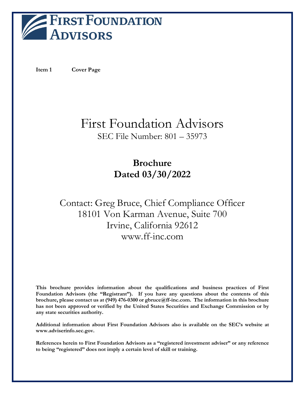

<span id="page-0-0"></span>**Item 1 Cover Page**

# First Foundation Advisors SEC File Number: 801 – 35973

# **Brochure Dated 03/30/2022**

# Contact: Greg Bruce, Chief Compliance Officer 18101 Von Karman Avenue, Suite 700 Irvine, California 92612 www.ff-inc.com

**This brochure provides information about the qualifications and business practices of First Foundation Advisors (the "Registrant"). If you have any questions about the contents of this brochure, please contact us at (949) 476-0300 or gbruce@ff-inc.com. The information in this brochure has not been approved or verified by the United States Securities and Exchange Commission or by any state securities authority.**

**Additional information about First Foundation Advisors also is available on the SEC's website at www.adviserinfo.sec.gov.**

**References herein to First Foundation Advisors as a "registered investment adviser" or any reference to being "registered" does not imply a certain level of skill or training.**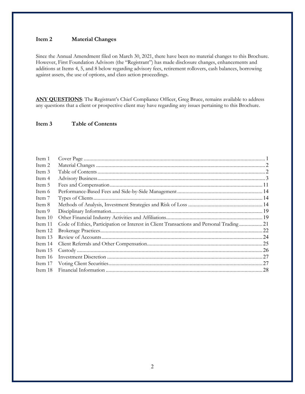# <span id="page-1-0"></span>**Item 2 Material Changes**

Since the Annual Amendment filed on March 30, 2021, there have been no material changes to this Brochure. However, First Foundation Advisors (the "Registrant") has made disclosure changes, enhancements and additions at Items 4, 5, and 8 below regarding advisory fees, retirement rollovers, cash balances, borrowing against assets, the use of options, and class action proceedings.

<span id="page-1-1"></span>ANY QUESTIONS: The Registrant's Chief Compliance Officer, Greg Bruce, remains available to address any questions that a client or prospective client may have regarding any issues pertaining to this Brochure.

# **Item 3 Table of Contents**

| Item 1    |                                                                                         |  |
|-----------|-----------------------------------------------------------------------------------------|--|
| Item 2    |                                                                                         |  |
| Item 3    |                                                                                         |  |
| Item 4    |                                                                                         |  |
| Item 5    |                                                                                         |  |
| Item 6    |                                                                                         |  |
| Item 7    |                                                                                         |  |
| Item 8    |                                                                                         |  |
| Item 9    |                                                                                         |  |
| Item $10$ |                                                                                         |  |
| Item 11   | Code of Ethics, Participation or Interest in Client Transactions and Personal Trading21 |  |
| Item 12   |                                                                                         |  |
| Item 13   |                                                                                         |  |
| Item 14   |                                                                                         |  |
| Item 15   |                                                                                         |  |
| Item 16   |                                                                                         |  |
| Item 17   |                                                                                         |  |
| Item 18   |                                                                                         |  |
|           |                                                                                         |  |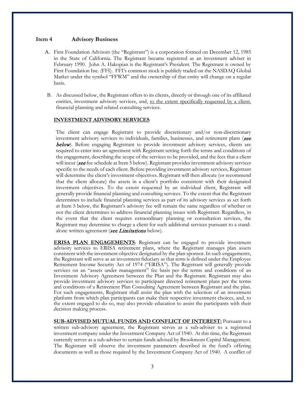## <span id="page-2-0"></span>**Item 4 Advisory Business**

- A. First Foundation Advisors (the "Registrant") is a corporation formed on December 12, 1985 in the State of California. The Registrant became registered as an investment adviser in February 1990. John A. Hakopian is the Registrant's President. The Registrant is owned by First Foundation Inc. (FFI). FFI's common stock is publicly traded on the NASDAQ Global Market under the symbol "FFWM" and the ownership of that entity will change on a regular basis.
- B. As discussed below, the Registrant offers to its clients, directly or through one of its affiliated entities, investment advisory services, and, to the extent specifically requested by a client, financial planning and related consulting services.

#### **INVESTMENT ADVISORY SERVICES**

The client can engage Registrant to provide discretionary and/or non-discretionary investment advisory services to individuals, families, businesses, and retirement plans (see below). Before engaging Registrant to provide investment advisory services, clients are required to enter into an agreement with Registrant setting forth the terms and conditions of the engagement, describing the scope of the services to be provided, and the fees that a client will incur (see fee schedule at Item 5 below). Registrant provides investment advisory services specific to the needs of each client. Before providing investment advisory services, Registrant will determine the client's investment objectives. Registrant will then allocate (or recommend that the client allocate) the assets in a client's portfolio consistent with their designated investment objectives. To the extent requested by an individual client, Registrant will generally provide financial planning and consulting services. To the extent that the Registrant determines to include financial planning services as part of its advisory services as set forth at Item 5 below, the Registrant's advisory fee will remain the same regardless of whether or not the client determines to address financial planning issues with Registrant. Regardless, in the event that the client requires extraordinary planning or consultation services, the Registrant may determine to charge a client for such additional services pursuant to a standalone written agreement (see Limitations below).

**ERISA PLAN ENGAGEMENTS**: Registrant can be engaged to provide investment advisory services to ERISA retirement plans, where the Registrant manages plan assets consistent with the investment objective designated by the plan sponsor. In such engagements, the Registrant will serve as an investment fiduciary as that term is defined under the Employee Retirement Income Security Act of 1974 ("ERISA"). The Registrant will generally provide services on an "assets under management" fee basis per the terms and conditions of an Investment Advisory Agreement between the Plan and the Registrant. Registrant may also provide investment advisory services to participant directed retirement plans per the terms and conditions of a Retirement Plan Consulting Agreement between Registrant and the plan. For such engagements, Registrant shall assist the plan with the selection of an investment platform from which plan participants can make their respective investment choices, and, to the extent engaged to do so, may also provide education to assist the participants with their decision making process.

**SUB-ADVISED MUTUAL FUNDS AND CONFLICT OF INTEREST:** Pursuant to a written sub-advisory agreement, the Registrant serves as a sub-adviser to a registered investment company under the Investment Company Act of 1940. At this time, the Registrant currently serves as a sub-adviser to certain funds advised by Brookmont Capital Management. The Registrant will observe the investment parameters described in the fund's offering documents as well as those required by the Investment Company Act of 1940. A conflict of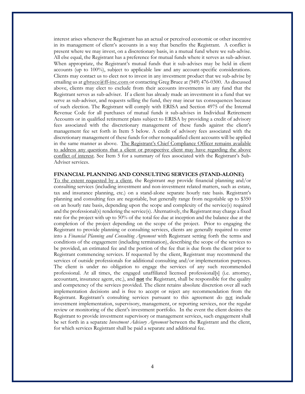interest arises whenever the Registrant has an actual or perceived economic or other incentive in its management of client's accounts in a way that benefits the Registrant. A conflict is present where we may invest, on a discretionary basis, in a mutual fund where we sub-advise. All else equal, the Registrant has a preference for mutual funds where it serves as sub-adviser. When appropriate, the Registrant's mutual funds that it sub-advises may be held in client accounts (up to 100%), subject to applicable law and any account-specific considerations. Clients may contact us to elect not to invest in any investment product that we sub-advise by emailing us at **[gbruce@ff-inc.com](mailto:gbruce@ff-inc.com)** or contacting Greg Bruce at (949) 476-0300. As discussed above, clients may elect to exclude from their accounts investments in any fund that the Registrant serves as sub-adviser. If a client has already made an investment in a fund that we serve as sub-adviser, and requests selling the fund, they may incur tax consequences because of such election. The Registrant will comply with ERISA and Section 4975 of the Internal Revenue Code for all purchases of mutual funds it sub-advises in Individual Retirement Accounts or in qualified retirement plans subject to ERISA by providing a credit of advisory fees associated with the discretionary management of these funds against the client's management fee set forth in Item 5 below. A credit of advisory fees associated with the discretionary management of these funds for other nonqualified client accounts will be applied in the same manner as above. The Registrant's Chief Compliance Officer remains available to address any questions that a client or prospective client may have regarding the above conflict of interest. See Item 5 for a summary of fees associated with the Registrant's Sub-Adviser services.

#### **FINANCIAL PLANNING AND CONSULTING SERVICES (STAND-ALONE)**

To the extent requested by a client, the Registrant *may* provide financial planning and/or consulting services (including investment and non-investment related matters, such as estate, tax and insurance planning, etc.) on a stand-alone separate hourly rate basis. Registrant's planning and consulting fees are negotiable, but generally range from negotiable up to \$350 on an hourly rate basis, depending upon the scope and complexity of the service(s) required and the professional(s) rendering the service(s). Alternatively, the Registrant may charge a fixed rate for the project with up to 50% of the total fee due at inception and the balance due at the completion of the project depending on the scope of the project. Prior to engaging the Registrant to provide planning or consulting services, clients are generally required to enter into a *Financial Planning and Consulting Agreement* with Registrant setting forth the terms and conditions of the engagement (including termination), describing the scope of the services to be provided, an estimated fee and the portion of the fee that is due from the client prior to Registrant commencing services. If requested by the client, Registrant may recommend the services of outside professionals for additional consulting and/or implementation purposes. The client is under no obligation to engage the services of any such recommended professional. At all times, the engaged unaffiliated licensed professional[s] (i.e. attorney, accountant, insurance agent, etc.), and **not** the Registrant, shall be responsible for the quality and competency of the services provided. The client retains absolute discretion over all such implementation decisions and is free to accept or reject any recommendation from the Registrant. Registrant's consulting services pursuant to this agreement do not include investment implementation, supervisory, management, or reporting services, nor the regular review or monitoring of the client's investment portfolio. In the event the client desires the Registrant to provide investment supervisory or management services, such engagement shall be set forth in a separate *Investment Advisory Agreement* between the Registrant and the client, for which services Registrant shall be paid a separate and additional fee.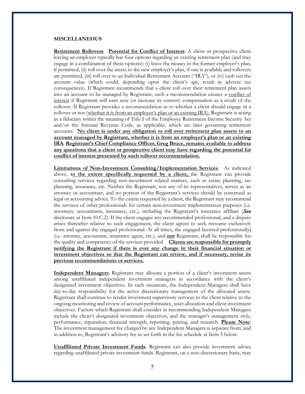### **MISCELLANEOUS**

**Retirement Rollovers**. **Potential for Conflict of Interest**: A client or prospective client leaving an employer typically has four options regarding an existing retirement plan (and may engage in a combination of these options): (i) leave the money in the former employer's plan, if permitted, (ii) roll over the assets to the new employer's plan, if one is available and rollovers are permitted, (iii) roll over to an Individual Retirement Account ("IRA"), or (iv) cash out the account value (which could, depending upon the client's age, result in adverse tax consequences). If Registrant recommends that a client roll over their retirement plan assets into an account to be managed by Registrant, such a recommendation creates a conflict of interest if Registrant will earn new (or increase its current) compensation as a result of the rollover. If Registrant provides a recommendation as to whether a client should engage in a rollover or not (whether it is from an employer's plan or an existing IRA), Registrant is acting as a fiduciary within the meaning of Title I of the Employee Retirement Income Security Act and/or the Internal Revenue Code, as applicable, which are laws governing retirement accounts. **No client is under any obligation to roll over retirement plan assets to an account managed by Registrant, whether it is from an employer's plan or an existing IRA**. **Registrant's Chief Compliance Officer, Greg Bruce, remains available to address any questions that a client or prospective client may have regarding the potential for conflict of interest presented by such rollover recommendation.** 

**Limitations of Non-Investment Consulting/Implementation Services**. As indicated above, **to the extent specifically requested by a client,** the Registrant can provide consulting services regarding non-investment related matters, such as estate planning, tax planning, insurance, etc. Neither the Registrant, nor any of its representatives, serves as an attorney or accountant, and no portion of the Registrant's services should be construed as legal or accounting advice. To the extent requested by a client, the Registrant may recommend the services of other professionals for certain non-investment implementation purposes (i.e. attorneys, accountants, insurance, etc.), including the Registrant's insurance affiliate ( $\text{Sec}$ disclosure at Item 10.C.2). If the client engages any recommended professional, and a dispute arises thereafter relative to such engagement, the client agrees to seek recourse exclusively from and against the engaged professional. At all times, the engaged licensed professional[s] (i.e. attorney, accountant, insurance agent, etc.), and **not** Registrant, shall be responsible for the quality and competency of the services provided. **Clients are responsible for promptly notifying the Registrant if there is ever any change in their financial situation or investment objectives so that the Registrant can review, and if necessary, revise its previous recommendations or services.**

**Independent Managers**. Registrant may allocate a portion of a client's investment assets among unaffiliated independent investment managers in accordance with the client's designated investment objectives. In such situations, the Independent Managers shall have day-to-day responsibility for the active discretionary management of the allocated assets. Registrant shall continue to render investment supervisory services to the client relative to the ongoing monitoring and review of account performance, asset allocation and client investment objectives. Factors which Registrant shall consider in recommending Independent Managers include the client's designated investment objectives, and the manager's management style, performance, reputation, financial strength, reporting, pricing, and research. **Please Note**: The investment management fee charged by any Independent Managers is separate from, and in addition to, Registrant's advisory fee as set forth in the fee schedule at Item 5 below.

**Unaffiliated Private Investment Funds**. Registrant can also provide investment advice regarding unaffiliated private investment funds. Registrant, on a non-discretionary basis, may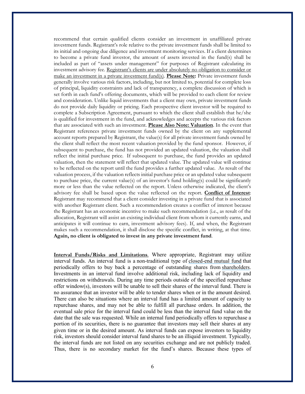recommend that certain qualified clients consider an investment in unaffiliated private investment funds. Registrant's role relative to the private investment funds shall be limited to its initial and ongoing due diligence and investment monitoring services. If a client determines to become a private fund investor, the amount of assets invested in the fund(s) shall be included as part of "assets under management" for purposes of Registrant calculating its investment advisory fee. Registrant's clients are under absolutely no obligation to consider or make an investment in a private investment fund(s). **Please Note:** Private investment funds generally involve various risk factors, including, but not limited to, potential for complete loss of principal, liquidity constraints and lack of transparency, a complete discussion of which is set forth in each fund's offering documents, which will be provided to each client for review and consideration. Unlike liquid investments that a client may own, private investment funds do not provide daily liquidity or pricing. Each prospective client investor will be required to complete a Subscription Agreement, pursuant to which the client shall establish that he/she is qualified for investment in the fund, and acknowledges and accepts the various risk factors that are associated with such an investment. **Please Also Note: Valuation**. In the event that Registrant references private investment funds owned by the client on any supplemental account reports prepared by Registrant, the value(s) for all private investment funds owned by the client shall reflect the most recent valuation provided by the fund sponsor. However, if subsequent to purchase, the fund has not provided an updated valuation, the valuation shall reflect the initial purchase price. If subsequent to purchase, the fund provides an updated valuation, then the statement will reflect that updated value. The updated value will continue to be reflected on the report until the fund provides a further updated value. As result of the valuation process, if the valuation reflects initial purchase price or an updated value subsequent to purchase price, the current value(s) of an investor's fund holding(s) could be significantly more or less than the value reflected on the report. Unless otherwise indicated, the client's advisory fee shall be based upon the value reflected on the report. **Conflict of Interest**: Registrant may recommend that a client consider investing in a private fund that is associated with another Registrant client. Such a recommendation creates a conflict of interest because the Registrant has an economic incentive to make such recommendation (i.e., as result of the allocation, Registrant will assist an existing individual client from whom it currently earns, and anticipates it will continue to earn, investment advisory fees). If, and when, the Registrant makes such a recommendation, it shall disclose the specific conflict, in writing, at that time. **Again, no client is obligated to invest in any private investment fund**.

**Interval Funds/Risks and Limitations**. Where appropriate, Registrant may utilize interval funds. An interval fund is a non-traditional type of [closed-end mutual fund](https://www.investopedia.com/terms/c/closed-endinvestment.asp) that periodically offers to buy back a percentage of outstanding shares from [shareholders.](https://www.investopedia.com/terms/s/shareholder.asp)  Investments in an interval fund involve additional risk, including lack of liquidity and restrictions on withdrawals. During any time periods outside of the specified repurchase offer window(s), investors will be unable to sell their shares of the interval fund. There is no assurance that an investor will be able to tender shares when or in the amount desired. There can also be situations where an interval fund has a limited amount of capacity to repurchase shares, and may not be able to fulfill all purchase orders. In addition, the eventual sale price for the interval fund could be less than the interval fund value on the date that the sale was requested. While an internal fund periodically offers to repurchase a portion of its securities, there is no guarantee that investors may sell their shares at any given time or in the desired amount. As interval funds can expose investors to liquidity risk, investors should consider interval fund shares to be an illiquid investment. Typically, the interval funds are not listed on any securities exchange and are not publicly traded. Thus, there is no secondary market for the fund's shares. Because these types of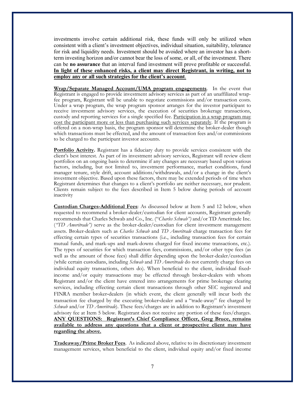investments involve certain additional risk, these funds will only be utilized when consistent with a client's investment objectives, individual situation, suitability, tolerance for risk and liquidity needs. Investment should be avoided where an investor has a shortterm investing horizon and/or cannot bear the loss of some, or all, of the investment. There can be **no assurance** that an interval fund investment will prove profitable or successful. **In light of these enhanced risks, a client may direct Registrant, in writing, not to employ any or all such strategies for the client's account**.

**Wrap/Separate Managed Account/UMA program engagements**. In the event that Registrant is engaged to provide investment advisory services as part of an unaffiliated wrapfee program, Registrant will be unable to negotiate commissions and/or transaction costs. Under a wrap program, the wrap program sponsor arranges for the investor participant to receive investment advisory services, the execution of securities brokerage transactions, custody and reporting services for a single specified fee. Participation in a wrap program may cost the participant more or less than purchasing such services separately. If the program is offered on a non-wrap basis, the program sponsor will determine the broker-dealer though which transactions must be effected, and the amount of transaction fees and/or commissions to be charged to the participant investor accounts.

**Portfolio Activity.** Registrant has a fiduciary duty to provide services consistent with the client's best interest. As part of its investment advisory services, Registrant will review client portfolios on an ongoing basis to determine if any changes are necessary based upon various factors, including, but not limited to, investment performance, market conditions, fund manager tenure, style drift, account additions/withdrawals, and/or a change in the client's investment objective. Based upon these factors, there may be extended periods of time when Registrant determines that changes to a client's portfolio are neither necessary, nor prudent. Clients remain subject to the fees described in Item 5 below during periods of account inactivity

**Custodian Charges-Additional Fees**: As discussed below at Item 5 and 12 below, when requested to recommend a broker-dealer/custodian for client accounts, Registrant generally recommends that Charles Schwab and Co., Inc. ("*Charles Schwab")* and/or TD Ameritrade Inc. (*"TD Ameritrade")* serve as the broker-dealer/custodian for client investment management assets. Broker-dealers such as *Charles Schwab* and *TD Ameritrade* charge transaction fees for effecting certain types of securities transactions (i.e., including transaction fees for certain mutual funds, and mark-ups and mark-downs charged for fixed income transactions, etc.). The types of securities for which transaction fees, commissions, and/or other type fees (as well as the amount of those fees) shall differ depending upon the broker-dealer/custodian (while certain custodians, including *Schwab* and *TD Ameritrade* do not currently charge fees on individual equity transactions, others do). When beneficial to the client, individual fixed‐ income and/or equity transactions may be effected through broker‐dealers with whom Registrant and/or the client have entered into arrangements for prime brokerage clearing services, including effecting certain client transactions through other SEC registered and FINRA member broker‐dealers (in which event, the client generally will incur both the transaction fee charged by the executing broker‐dealer and a "trade-away" fee charged by *Schwab* and/or *TD Ameritrade*). These fees/charges are in addition to Registrant's investment advisory fee at Item 5 below. Registrant does not receive any portion of these fees/charges. **ANY QUESTIONS: Registrant's Chief Compliance Officer, Greg Bruce, remains available to address any questions that a client or prospective client may have regarding the above.**

**Tradeaway/Prime Broker Fees**. As indicated above, relative to its discretionary investment management services, when beneficial to the client, individual equity and/or fixed income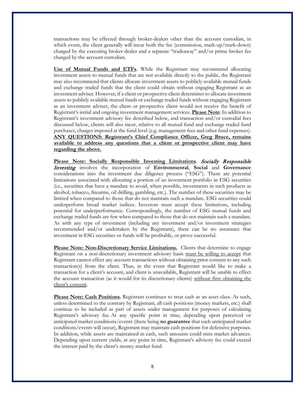transactions may be effected through broker-dealers other than the account custodian, in which event, the client generally will incur both the fee (commission, mark-up/mark-down) charged by the executing broker-dealer and a separate "tradeaway" and/or prime broker fee charged by the account custodian.

**Use of Mutual Funds and ETFs**. While the Registrant may recommend allocating investment assets to mutual funds that are not available directly to the public, the Registrant may also recommend that clients allocate investment assets to publicly available mutual funds and exchange traded funds that the client could obtain without engaging Registrant as an investment adviser. However, if a client or prospective client determines to allocate investment assets to publicly available mutual funds or exchange traded funds without engaging Registrant as an investment adviser, the client or prospective client would not receive the benefit of Registrant's initial and ongoing investment management services. **Please Note**: In addition to Registrant's investment advisory fee described below, and transaction and/or custodial fees discussed below, clients will also incur, relative to all mutual fund and exchange traded fund purchases, charges imposed at the fund level (e.g. management fees and other fund expenses). **ANY QUESTIONS: Registrant's Chief Compliance Officer, Greg Bruce, remains available to address any questions that a client or prospective client may have regarding the above.**

**Please Note: Socially Responsible Investing Limitations**. Socially Responsible Investing involves the incorporation of **Environmental**, **Social** and **Governance** considerations into the investment due diligence process ("ESG"). There are potential limitations associated with allocating a portion of an investment portfolio in ESG securities (i.e., securities that have a mandate to avoid, when possible, investments in such products as alcohol, tobacco, firearms, oil drilling, gambling, etc.). The number of these securities may be limited when compared to those that do not maintain such a mandate. ESG securities could underperform broad market indices. Investors must accept these limitations, including potential for underperformance. Correspondingly, the number of ESG mutual funds and exchange traded funds are few when compared to those that do not maintain such a mandate. As with any type of investment (including any investment and/or investment strategies recommended and/or undertaken by the Registrant), there can be no assurance that investment in ESG securities or funds will be profitable, or prove successful.

**Please Note: Non-Discretionary Service Limitations.** Clients that determine to engage Registrant on a non-discretionary investment advisory basis must be willing to accept that Registrant cannot effect any account transactions without obtaining prior consent to any such transaction(s) from the client. Thus, in the event that Registrant would like to make a transaction for a client's account, and client is unavailable, Registrant will be unable to effect the account transaction (as it would for its discretionary clients) without first obtaining the client's consent.

**Please Note: Cash Positions.** Registrant continues to treat cash as an asset class. As such, unless determined to the contrary by Registrant, all cash positions (money markets, etc.) shall continue to be included as part of assets under management for purposes of calculating Registrant's advisory fee. At any specific point in time, depending upon perceived or anticipated market conditions/events (there being **no guarantee** that such anticipated market conditions/events will occur), Registrant may maintain cash positions for defensive purposes. In addition, while assets are maintained in cash, such amounts could miss market advances. Depending upon current yields, at any point in time, Registrant's advisory fee could exceed the interest paid by the client's money market fund.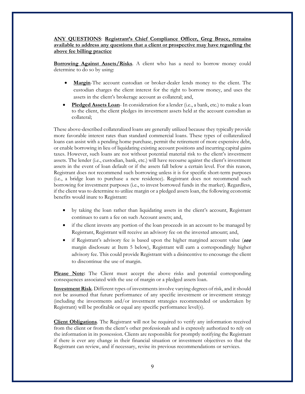# **ANY QUESTIONS**: **Registrant's Chief Compliance Officer, Greg Bruce, remains available to address any questions that a client or prospective may have regarding the above fee billing practice**

**Borrowing Against Assets/Risks**. A client who has a need to borrow money could determine to do so by using:

- **Margin**-The account custodian or broker-dealer lends money to the client. The custodian charges the client interest for the right to borrow money, and uses the assets in the client's brokerage account as collateral; and,
- **Pledged Assets Loan** In consideration for a lender (i.e., a bank, etc.) to make a loan to the client, the client pledges its investment assets held at the account custodian as collateral;

These above-described collateralized loans are generally utilized because they typically provide more favorable interest rates than standard commercial loans. These types of collateralized loans can assist with a pending home purchase, permit the retirement of more expensive debt, or enable borrowing in lieu of liquidating existing account positions and incurring capital gains taxes. However, such loans are not without potential material risk to the client's investment assets. The lender (i.e., custodian, bank, etc.) will have recourse against the client's investment assets in the event of loan default or if the assets fall below a certain level. For this reason, Registrant does not recommend such borrowing unless it is for specific short-term purposes (i.e., a bridge loan to purchase a new residence). Registrant does not recommend such borrowing for investment purposes (i.e., to invest borrowed funds in the market). Regardless, if the client was to determine to utilize margin or a pledged assets loan, the following economic benefits would inure to Registrant:

- by taking the loan rather than liquidating assets in the client's account, Registrant continues to earn a fee on such Account assets; and,
- if the client invests any portion of the loan proceeds in an account to be managed by Registrant, Registrant will receive an advisory fee on the invested amount; and,
- if Registrant's advisory fee is based upon the higher margined account value (see margin disclosure at Item 5 below), Registrant will earn a correspondingly higher advisory fee. This could provide Registrant with a disincentive to encourage the client to discontinue the use of margin.

Please Note: The Client must accept the above risks and potential corresponding consequences associated with the use of margin or a pledged assets loan.

**Investment Risk**. Different types of investments involve varying degrees of risk, and it should not be assumed that future performance of any specific investment or investment strategy (including the investments and/or investment strategies recommended or undertaken by Registrant) will be profitable or equal any specific performance level(s).

**Client Obligations**. The Registrant will not be required to verify any information received from the client or from the client's other professionals and is expressly authorized to rely on the information in its possession. Clients are responsible for promptly notifying the Registrant if there is ever any change in their financial situation or investment objectives so that the Registrant can review, and if necessary, revise its previous recommendations or services.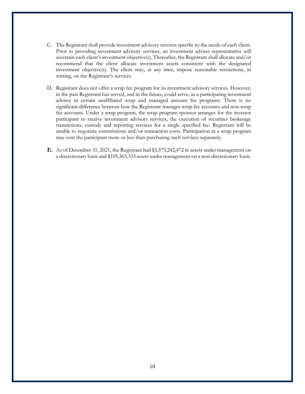- C. The Registrant shall provide investment advisory services specific to the needs of each client. Prior to providing investment advisory services, an investment adviser representative will ascertain each client's investment objective(s). Thereafter, the Registrant shall allocate and/or recommend that the client allocate investment assets consistent with the designated investment objective(s). The client may, at any time, impose reasonable restrictions, in writing, on the Registrant's services.
- D. Registrant does not offer a wrap fee program for its investment advisory services. However, in the past Registrant has served, and in the future, could serve, as a participating investment adviser in certain unaffiliated wrap and managed account fee programs. There is no significant difference between how the Registrant manages wrap fee accounts and non-wrap fee accounts. Under a wrap program, the wrap program sponsor arranges for the investor participant to receive investment advisory services, the execution of securities brokerage transactions, custody and reporting services for a single specified fee. Registrant will be unable to negotiate commissions and/or transaction costs. Participation in a wrap program may cost the participant more or less than purchasing such services separately.
- **E.** As of December 31, 2021, the Registrant had \$5,575,242,472 in assets under management on a discretionary basis and \$105,363,333 assets under management on a non-discretionary basis.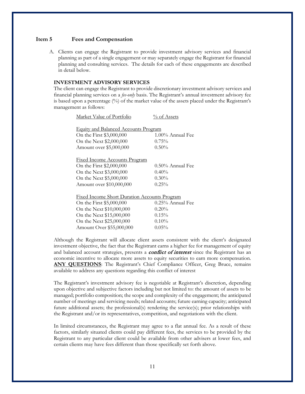### <span id="page-10-0"></span>**Item 5 Fees and Compensation**

A. Clients can engage the Registrant to provide investment advisory services and financial planning as part of a single engagement or may separately engage the Registrant for financial planning and consulting services. The details for each of these engagements are described in detail below.

## **INVESTMENT ADVISORY SERVICES**

The client can engage the Registrant to provide discretionary investment advisory services and financial planning services on a *fee-only* basis. The Registrant's annual investment advisory fee is based upon a percentage (%) of the market value of the assets placed under the Registrant's management as follows:

| Market Value of Portfolio                           | % of Assets         |  |  |
|-----------------------------------------------------|---------------------|--|--|
|                                                     |                     |  |  |
| <b>Equity and Balanced Accounts Program</b>         |                     |  |  |
| On the First \$3,000,000                            | 1.00% Annual Fee    |  |  |
| On the Next \$2,000,000                             | $0.75\%$            |  |  |
| Amount over \$5,000,000                             | $0.50\%$            |  |  |
|                                                     |                     |  |  |
| <u>Fixed Income Accounts Program</u>                |                     |  |  |
| On the First \$2,000,000                            | $0.50\%$ Annual Fee |  |  |
| On the Next \$3,000,000                             | $0.40\%$            |  |  |
| On the Next \$5,000,000                             | $0.30\%$            |  |  |
| Amount over \$10,000,000                            | $0.25\%$            |  |  |
|                                                     |                     |  |  |
| <b>Fixed Income Short Duration Accounts Program</b> |                     |  |  |
| On the First \$5,000,000                            | $0.25\%$ Annual Fee |  |  |
| On the Next \$10,000,000                            | 0.20%               |  |  |
| On the Next \$15,000,000                            | 0.15%               |  |  |
| On the Next \$25,000,000                            | 0.10%               |  |  |
| Amount Over \$55,000,000                            | $0.05\%$            |  |  |

Although the Registrant will allocate client assets consistent with the client's designated investment objective, the fact that the Registrant earns a higher fee for management of equity and balanced account strategies, presents a **conflict of interest** since the Registrant has an economic incentive to allocate more assets to equity securities to earn more compensation. **ANY QUESTIONS**: The Registrant's Chief Compliance Officer, Greg Bruce, remains available to address any questions regarding this conflict of interest

The Registrant's investment advisory fee is negotiable at Registrant's discretion, depending upon objective and subjective factors including but not limited to: the amount of assets to be managed; portfolio composition; the scope and complexity of the engagement; the anticipated number of meetings and servicing needs; related accounts; future earning capacity; anticipated future additional assets; the professional(s) rendering the service(s); prior relationships with the Registrant and/or its representatives, competition, and negotiations with the client.

In limited circumstances, the Registrant may agree to a flat annual fee. As a result of these factors, similarly situated clients could pay different fees, the services to be provided by the Registrant to any particular client could be available from other advisers at lower fees, and certain clients may have fees different than those specifically set forth above.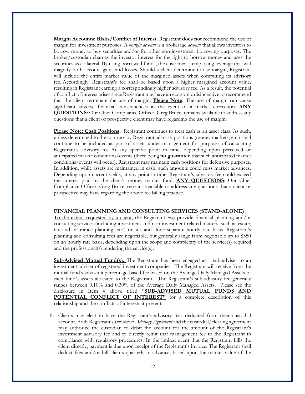**Margin Accounts: Risks/Conflict of Interest.** Registrant **does not** recommend the use of margin for investment purposes. A *margin account* is a brokerage *account* that allows investors to borrow money to buy securities and/or for other non-investment borrowing purposes. The broker/custodian charges the investor interest for the right to borrow money and uses the securities as collateral. By using borrowed funds, the customer is employing leverage that will magnify both account gains and losses. Should a client determine to use margin, Registrant will include the entire market value of the margined assets when computing its advisory fee. Accordingly, Registrant's fee shall be based upon a higher margined account value, resulting in Registrant earning a correspondingly higher advisory fee. As a result, the potential of conflict of interest arises since Registrant may have an economic disincentive to recommend that the client terminate the use of margin. **Please Note**: The use of margin can cause significant adverse financial consequences in the event of a market correction. **ANY QUESTIONS**: Our Chief Compliance Officer, Greg Bruce, remains available to address any questions that a client or prospective client may have regarding the use of margin.

Please Note: Cash Positions. Registrant continues to treat cash as an asset class. As such, unless determined to the contrary by Registrant, all cash positions (money markets, etc.) shall continue to be included as part of assets under management for purposes of calculating Registrant's advisory fee. At any specific point in time, depending upon perceived or anticipated market conditions/events (there being **no guarantee** that such anticipated market conditions/events will occur), Registrant may maintain cash positions for defensive purposes. In addition, while assets are maintained in cash, such amounts could miss market advances. Depending upon current yields, at any point in time, Registrant's advisory fee could exceed the interest paid by the client's money market fund. **ANY QUESTIONS**: Our Chief Compliance Officer, Greg Bruce, remains available to address any questions that a client or prospective may have regarding the above fee billing practice.

#### **FINANCIAL PLANNING AND CONSULTING SERVICES (STAND-ALONE)**

To the extent requested by a client, the Registrant *may* provide financial planning and/or consulting services (including investment and non-investment related matters, such as estate, tax and insurance planning, etc.) on a stand-alone separate hourly rate basis. Registrant's planning and consulting fees are negotiable, but generally range from negotiable up to \$350 on an hourly rate basis, depending upon the scope and complexity of the service(s) required and the professional(s) rendering the service(s).

**Sub-Advised Mutual Fund(s).** The Registrant has been engaged as a sub-adviser to an investment adviser of registered investment companies. The Registrant will receive from the mutual fund's adviser a percentage-based fee based on the Average Daily Managed Assets of each fund's assets allocated to the Registrant. The Registrant's sub-advisory fee generally ranges between 0.10% and 0.30% of the Average Daily Managed Assets. Please see the disclosure in Item 4 above titled "**SUB-ADVISED MUTUAL FUNDS AND POTENTIAL CONFLICT OF INTEREST"** for a complete description of this relationship and the conflicts of interests it presents.

B. Clients may elect to have the Registrant's advisory fees deducted from their custodial account. Both Registrant's *Investment Advisory Agreement* and the custodial/clearing agreement may authorize the custodian to debit the account for the amount of the Registrant's investment advisory fee and to directly remit that management fee to the Registrant in compliance with regulatory procedures. In the limited event that the Registrant bills the client directly, payment is due upon receipt of the Registrant's invoice. The Registrant shall deduct fees and/or bill clients quarterly in advance, based upon the market value of the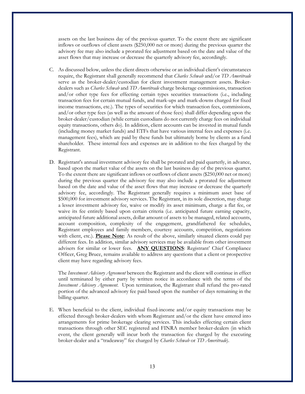assets on the last business day of the previous quarter. To the extent there are significant inflows or outflows of client assets (\$250,000 net or more) during the previous quarter the advisory fee may also include a prorated fee adjustment based on the date and value of the asset flows that may increase or decrease the quarterly advisory fee, accordingly.

- C. As discussed below, unless the client directs otherwise or an individual client's circumstances require, the Registrant shall generally recommend that *Charles Schwab* and/or *TD Ameritrade* serve as the broker-dealer/custodian for client investment management assets. Brokerdealers such as *Charles Schwab* and *TD Ameritrade* charge brokerage commissions, transaction and/or other type fees for effecting certain types securities transactions (i.e., including transaction fees for certain mutual funds, and mark-ups and mark-downs charged for fixed income transactions, etc.). The types of securities for which transaction fees, commissions, and/or other type fees (as well as the amount of those fees) shall differ depending upon the broker-dealer/custodian (while certain custodians do not currently charge fees on individual equity transactions, others do). In addition, client accounts can be invested in mutual funds (including money market funds) and ETFs that have various internal fees and expenses (i.e. management fees), which are paid by these funds but ultimately borne by clients as a fund shareholder. These internal fees and expenses are in addition to the fees charged by the Registrant.
- D. Registrant's annual investment advisory fee shall be prorated and paid quarterly, in advance, based upon the market value of the assets on the last business day of the previous quarter. To the extent there are significant inflows or outflows of client assets (\$250,000 net or more) during the previous quarter the advisory fee may also include a prorated fee adjustment based on the date and value of the asset flows that may increase or decrease the quarterly advisory fee, accordingly. The Registrant generally requires a minimum asset base of \$500,000 for investment advisory services. The Registrant, in its sole discretion, may charge a lesser investment advisory fee, waive or modify its asset minimum, charge a flat fee, or waive its fee entirely based upon certain criteria (i.e. anticipated future earning capacity, anticipated future additional assets, dollar amount of assets to be managed, related accounts, account composition, complexity of the engagement, grandfathered fee schedules, Registrant employees and family members, courtesy accounts, competition, negotiations with client, etc.). **Please Note**: As result of the above, similarly situated clients could pay different fees. In addition, similar advisory services may be available from other investment advisers for similar or lower fees. **ANY QUESTIONS**: Registrant' Chief Compliance Officer, Greg Bruce, remains available to address any questions that a client or prospective client may have regarding advisory fees.

The *Investment Advisory Agreement* between the Registrant and the client will continue in effect until terminated by either party by written notice in accordance with the terms of the *Investment Advisory Agreement*. Upon termination, the Registrant shall refund the pro-rated portion of the advanced advisory fee paid based upon the number of days remaining in the billing quarter.

E. When beneficial to the client, individual fixed-income and/or equity transactions may be effected through broker-dealers with whom Registrant and/or the client have entered into arrangements for prime brokerage clearing services. This includes effecting certain client transactions through other SEC registered and FINRA member broker-dealers (in which event, the client generally will incur both the transaction fee charged by the executing broker-dealer and a "tradeaway" fee charged by *Charles Schwab* or *TD Ameritrade*).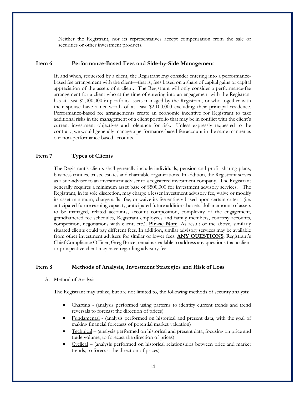Neither the Registrant, nor its representatives accept compensation from the sale of securities or other investment products.

## <span id="page-13-0"></span>**Item 6 Performance-Based Fees and Side-by-Side Management**

If, and when, requested by a client, the Registrant *may* consider entering into a performancebased fee arrangement with the client—that is, fees based on a share of capital gains or capital appreciation of the assets of a client. The Registrant will only consider a performance-fee arrangement for a client who at the time of entering into an engagement with the Registrant has at least \$1,000,000 in portfolio assets managed by the Registrant, or who together with their spouse have a net worth of at least \$2,100,000 excluding their principal residence. Performance-based fee arrangements create an economic incentive for Registrant to take additional risks in the management of a client portfolio that may be in conflict with the client's current investment objectives and tolerance for risk. Unless expressly requested to the contrary, we would generally manage a performance-based fee account in the same manner as our non-performance based accounts.

# <span id="page-13-1"></span>**Item 7 Types of Clients**

The Registrant's clients shall generally include individuals, pension and profit sharing plans, business entities, trusts, estates and charitable organizations. In addition, the Registrant serves as a sub-adviser to an investment adviser to a registered investment company. The Registrant generally requires a minimum asset base of \$500,000 for investment advisory services. The Registrant, in its sole discretion, may charge a lesser investment advisory fee, waive or modify its asset minimum, charge a flat fee, or waive its fee entirely based upon certain criteria (i.e. anticipated future earning capacity, anticipated future additional assets, dollar amount of assets to be managed, related accounts, account composition, complexity of the engagement, grandfathered fee schedules, Registrant employees and family members, courtesy accounts, competition, negotiations with client, etc.). **Please Note**: As result of the above, similarly situated clients could pay different fees. In addition, similar advisory services may be available from other investment advisers for similar or lower fees. **ANY QUESTIONS**: Registrant's Chief Compliance Officer, Greg Bruce, remains available to address any questions that a client or prospective client may have regarding advisory fees.

#### <span id="page-13-2"></span>**Item 8 Methods of Analysis, Investment Strategies and Risk of Loss**

A. Method of Analysis

The Registrant may utilize, but are not limited to, the following methods of security analysis:

- Charting (analysis performed using patterns to identify current trends and trend reversals to forecast the direction of prices)
- Fundamental (analysis performed on historical and present data, with the goal of making financial forecasts of potential market valuation)
- Technical (analysis performed on historical and present data, focusing on price and trade volume, to forecast the direction of prices)
- Cyclical (analysis performed on historical relationships between price and market trends, to forecast the direction of prices)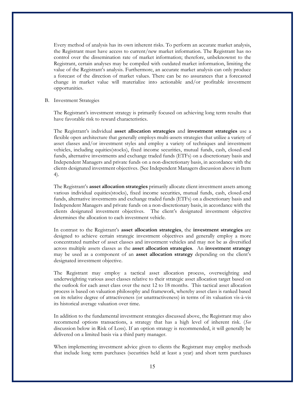Every method of analysis has its own inherent risks. To perform an accurate market analysis, the Registrant must have access to current/new market information. The Registrant has no control over the dissemination rate of market information; therefore, unbeknownst to the Registrant, certain analyses may be compiled with outdated market information, limiting the value of the Registrant's analysis. Furthermore, an accurate market analysis can only produce a forecast of the direction of market values. There can be no assurances that a forecasted change in market value will materialize into actionable and/or profitable investment opportunities.

#### B. Investment Strategies

The Registrant's investment strategy is primarily focused on achieving long term results that have favorable risk to reward characteristics.

The Registrant's individual **asset allocation strategies** and **investment strategies** use a flexible open architecture that generally employs multi-assets strategies that utilize a variety of asset classes and/or investment styles and employ a variety of techniques and investment vehicles, including equities(stocks), fixed income securities, mutual funds, cash, closed-end funds, alternative investments and exchange traded funds (ETFs) on a discretionary basis and Independent Managers and private funds on a non-discretionary basis, in accordance with the clients designated investment objectives. (See Independent Managers discussion above in Item 4).

The Registrant's **asset allocation strategies** primarily allocate client investment assets among various individual equities(stocks), fixed income securities, mutual funds, cash, closed-end funds, alternative investments and exchange traded funds (ETFs) on a discretionary basis and Independent Managers and private funds on a non-discretionary basis, in accordance with the clients designated investment objectives. The client's designated investment objective determines the allocation to each investment vehicle.

In contrast to the Registrant's **asset allocation strategies**, the **investment strategies** are designed to achieve certain strategic investment objectives and generally employ a more concentrated number of asset classes and investment vehicles and may not be as diversified across multiple assets classes as the **asset allocation strategies**. An **investment strategy** may be used as a component of an **asset allocation strategy** depending on the client's designated investment objective.

The Registrant may employ a tactical asset allocation process, overweighting and underweighting various asset classes relative to their strategic asset allocation target based on the outlook for each asset class over the next 12 to 18 months. This tactical asset allocation process is based on valuation philosophy and framework, whereby asset class is ranked based on its relative degree of attractiveness (or unattractiveness) in terms of its valuation vis-à-vis its historical average valuation over time.

In addition to the fundamental investment strategies discussed above, the Registrant may also recommend options transactions, a strategy that has a high level of inherent risk. (*See*  discussion below in Risk of Loss). If an option strategy is recommended, it will generally be delivered on a limited basis via a third party manager.

When implementing investment advice given to clients the Registrant may employ methods that include long term purchases (securities held at least a year) and short term purchases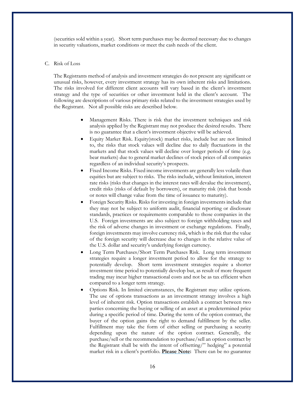(securities sold within a year). Short term purchases may be deemed necessary due to changes in security valuations, market conditions or meet the cash needs of the client.

### C. Risk of Loss

The Registrants method of analysis and investment strategies do not present any significant or unusual risks, however, every investment strategy has its own inherent risks and limitations. The risks involved for different client accounts will vary based in the client's investment strategy and the type of securities or other investment held in the client's account. The following are descriptions of various primary risks related to the investment strategies used by the Registrant. Not all possible risks are described below.

- Management Risks. There is risk that the investment techniques and risk analysis applied by the Registrant may not produce the desired results. There is no guarantee that a client's investment objective will be achieved.
- Equity Market Risk. Equity(stock) market risks, include but are not limited to, the risks that stock values will decline due to daily fluctuations in the markets and that stock values will decline over longer periods of time (e.g. bear markets) due to general market declines of stock prices of all companies regardless of an individual security's prospects.
- Fixed Income Risks. Fixed income investments are generally less volatile than equities but are subject to risks. The risks include, without limitation, interest rate risks (risks that changes in the interest rates will devalue the investment), credit risks (risks of default by borrowers), or maturity risk (risk that bonds or notes will change value from the time of issuance to maturity).
- Foreign Security Risks. Risks for investing in foreign investments include that they may not be subject to uniform audit, financial reporting or disclosure standards, practices or requirements comparable to those companies in the U.S. Foreign investments are also subject to foreign withholding taxes and the risk of adverse changes in investment or exchange regulations. Finally, foreign investments may involve currency risk, which is the risk that the value of the foreign security will decrease due to changes in the relative value of the U.S. dollar and security's underlying foreign currency.
- Long Term Purchases/Short Term Purchases Risk. Long term investment strategies require a longer investment period to allow for the strategy to potentially develop. Short term investment strategies require a shorter investment time period to potentially develop but, as result of more frequent trading may incur higher transactional costs and not be as tax efficient when compared to a longer term strategy.
- Options Risk. In limited circumstances, the Registrant may utilize options. The use of options transactions as an investment strategy involves a high level of inherent risk. Option transactions establish a contract between two parties concerning the buying or selling of an asset at a predetermined price during a specific period of time. During the term of the option contract, the buyer of the option gains the right to demand fulfillment by the seller. Fulfillment may take the form of either selling or purchasing a security depending upon the nature of the option contract. Generally, the purchase/sell or the recommendation to purchase/sell an option contract by the Registrant shall be with the intent of offsetting/" hedging" a potential market risk in a client's portfolio. **Please Note:** There can be no guarantee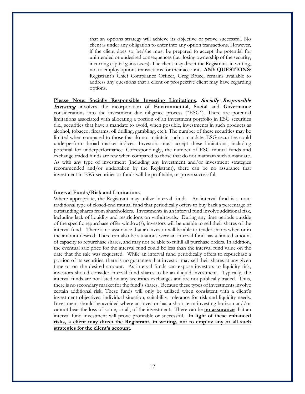that an options strategy will achieve its objective or prove successful. No client is under any obligation to enter into any option transactions. However, if the client does so, he/she must be prepared to accept the potential for unintended or undesired consequences (i.e., losing ownership of the security, incurring capital gains taxes). The client may direct the Registrant, in writing, not to employ options transactions for their accounts. **ANY QUESTIONS**: Registrant's Chief Compliance Officer, Greg Bruce, remains available to address any questions that a client or prospective client may have regarding options.

**Please Note: Socially Responsible Investing Limitations**. Socially Responsible Investing involves the incorporation of **Environmental**, **Social** and **Governance** considerations into the investment due diligence process ("ESG"). There are potential limitations associated with allocating a portion of an investment portfolio in ESG securities (i.e., securities that have a mandate to avoid, when possible, investments in such products as alcohol, tobacco, firearms, oil drilling, gambling, etc.). The number of these securities may be limited when compared to those that do not maintain such a mandate. ESG securities could underperform broad market indices. Investors must accept these limitations, including potential for underperformance. Correspondingly, the number of ESG mutual funds and exchange traded funds are few when compared to those that do not maintain such a mandate. As with any type of investment (including any investment and/or investment strategies recommended and/or undertaken by the Registrant), there can be no assurance that investment in ESG securities or funds will be profitable, or prove successful.

#### **Interval Funds/Risk and Limitations**.

Where appropriate, the Registrant may utilize interval funds. An interval fund is a nontraditional type of closed-end mutual fund that periodically offers to buy back a percentage of outstanding shares from shareholders. Investments in an interval fund involve additional risk, including lack of liquidity and restrictions on withdrawals. During any time periods outside of the specific repurchase offer window(s), investors will be unable to sell their shares of the interval fund. There is no assurance that an investor will be able to tender shares when or in the amount desired. There can also be situations were an interval fund has a limited amount of capacity to repurchase shares, and may not be able to fulfill all purchase orders. In addition, the eventual sale price for the interval fund could be less than the interval fund value on the date that the sale was requested. While an interval fund periodically offers to repurchase a portion of its securities, there is no guarantee that investor may sell their shares at any given time or on the desired amount. As interval funds can expose investors to liquidity risk, investors should consider interval fund shares to be an illiquid investment. Typically, the interval funds are not listed on any securities exchanges and are not publically traded. Thus, there is no secondary market for the fund's shares. Because these types of investments involve certain additional risk. These funds will only be utilized when consistent with a client's investment objectives, individual situation, suitability, tolerance for risk and liquidity needs. Investment should be avoided where an investor has a short-term investing horizon and/or cannot bear the loss of some, or all, of the investment. There can be **no assurance** that an interval fund investment will prove profitable or successful. **In light of these enhanced risks, a client may direct the Registrant, in writing, not to employ any or all such strategies for the client's account.**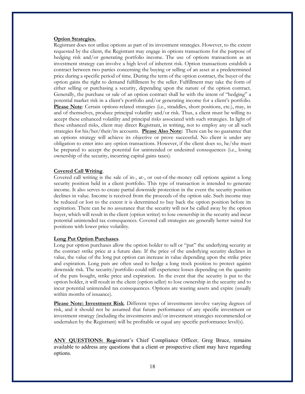#### **Option Strategies.**

Registrant does not utilize options as part of its investment strategies. However, to the extent requested by the client, the Registrant may engage in options transactions for the purpose of hedging risk and/or generating portfolio income. The use of options transactions as an investment strategy can involve a high level of inherent risk. Option transactions establish a contract between two parties concerning the buying or selling of an asset at a predetermined price during a specific period of time. During the term of the option contract, the buyer of the option gains the right to demand fulfillment by the seller. Fulfillment may take the form of either selling or purchasing a security, depending upon the nature of the option contract. Generally, the purchase or sale of an option contract shall be with the intent of "hedging" a potential market risk in a client's portfolio and/or generating income for a client's portfolio. **Please Note**: Certain options-related strategies (i.e., straddles, short positions, etc.), may, in and of themselves, produce principal volatility and/or risk. Thus, a client must be willing to accept these enhanced volatility and principal risks associated with such strategies. In light of these enhanced risks, client may direct Registrant, in writing, not to employ any or all such strategies for his/her/their/its accounts. **Please Also Note:** There can be no guarantee that an options strategy will achieve its objective or prove successful. No client is under any obligation to enter into any option transactions. However, if the client does so, he/she must be prepared to accept the potential for unintended or undesired consequences (i.e., losing ownership of the security, incurring capital gains taxes).

#### **Covered Call Writing**.

Covered call writing is the sale of in-, at-, or out-of-the-money call options against a long security position held in a client portfolio. This type of transaction is intended to generate income. It also serves to create partial downside protection in the event the security position declines in value. Income is received from the proceeds of the option sale. Such income may be reduced or lost to the extent it is determined to buy back the option position before its expiration. There can be no assurance that the security will not be called away by the option buyer, which will result in the client (option writer) to lose ownership in the security and incur potential unintended tax consequences. Covered call strategies are generally better suited for positions with lower price volatility.

#### **Long Put Option Purchases**.

Long put option purchases allow the option holder to sell or "put" the underlying security at the contract strike price at a future date. If the price of the underlying security declines in value, the value of the long put option can increase in value depending upon the strike price and expiration. Long puts are often used to hedge a long stock position to protect against downside risk. The security/portfolio could still experience losses depending on the quantity of the puts bought, strike price and expiration. In the event that the security is put to the option holder, it will result in the client (option seller) to lose ownership in the security and to incur potential unintended tax consequences. Options are wasting assets and expire (usually within months of issuance).

**Please Note: Investment Risk**. Different types of investments involve varying degrees of risk, and it should not be assumed that future performance of any specific investment or investment strategy (including the investments and/or investment strategies recommended or undertaken by the Registrant) will be profitable or equal any specific performance level(s).

**ANY QUESTIONS: Reg**istrant's Chief Compliance Officer, Greg Bruce, remains available to address any questions that a client or prospective client may have regarding options.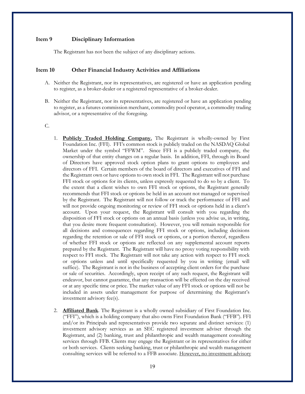## <span id="page-18-0"></span>**Item 9 Disciplinary Information**

The Registrant has not been the subject of any disciplinary actions.

#### <span id="page-18-1"></span>**Item 10 Other Financial Industry Activities and Affiliations**

- A. Neither the Registrant, nor its representatives, are registered or have an application pending to register, as a broker-dealer or a registered representative of a broker-dealer.
- B. Neither the Registrant, nor its representatives, are registered or have an application pending to register, as a futures commission merchant, commodity pool operator, a commodity trading advisor, or a representative of the foregoing.

# C.

- 1. **Publicly Traded Holding Company.** The Registrant is wholly-owned by First Foundation Inc. (FFI). FFI's common stock is publicly traded on the NASDAQ Global Market under the symbol "FFWM". Since FFI is a publicly traded company, the ownership of that entity changes on a regular basis. In addition, FFI, through its Board of Directors have approved stock option plans to grant options to employees and directors of FFI. Certain members of the board of directors and executives of FFI and the Registrant own or have options to own stock in FFI. The Registrant will not purchase FFI stock or options for its clients, unless expressly requested to do so by a client. To the extent that a client wishes to own FFI stock or options, the Registrant generally recommends that FFI stock or options be held in an account not managed or supervised by the Registrant. The Registrant will not follow or track the performance of FFI and will not provide ongoing monitoring or review of FFI stock or options held in a client's account. Upon your request, the Registrant will consult with you regarding the disposition of FFI stock or options on an annual basis (unless you advise us, in writing, that you desire more frequent consultation). However, you will remain responsible for all decisions and consequences regarding FFI stock or options, including decisions regarding the retention or sale of FFI stock or options, or a portion thereof, regardless of whether FFI stock or options are reflected on any supplemental account reports prepared by the Registrant. The Registrant will have no proxy voting responsibility with respect to FFI stock. The Registrant will not take any action with respect to FFI stock or options unless and until specifically requested by you in writing (email will suffice). The Registrant is not in the business of accepting client orders for the purchase or sale of securities. Accordingly, upon receipt of any such request, the Registrant will endeavor, but cannot guarantee, that any transaction will be effected on the day received or at any specific time or price. The market value of any FFI stock or options will not be included in assets under management for purpose of determining the Registrant's investment advisory fee(s).
- 2. **Affiliated Bank**. The Registrant is a wholly owned subsidiary of First Foundation Inc. ("FFI"), which is a holding company that also owns First Foundation Bank ("FFB"). FFI and/or its Principals and representatives provide two separate and distinct services: (1) investment advisory services as an SEC registered investment adviser through the Registrant, and (2) banking, trust and philanthropic and wealth management consulting services through FFB. Clients may engage the Registrant or its representatives for either or both services. Clients seeking banking, trust or philanthropic and wealth management consulting services will be referred to a FFB associate. However, no investment advisory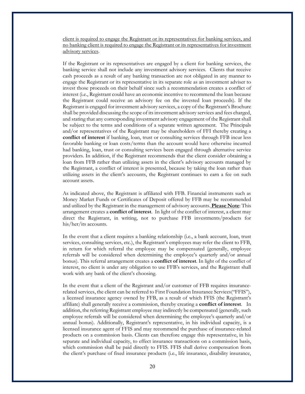client is required to engage the Registrant or its representatives for banking services, and no banking client is required to engage the Registrant or its representatives for investment advisory services.

If the Registrant or its representatives are engaged by a client for banking services, the banking service shall not include any investment advisory services. Clients that receive cash proceeds as a result of any banking transaction are not obligated in any manner to engage the Registrant or its representative in its separate role as an investment adviser to invest those proceeds on their behalf since such a recommendation creates a conflict of interest (i.e., Registrant could have an economic incentive to recommend the loan because the Registrant could receive an advisory fee on the invested loan proceeds). If the Registrant is engaged for investment advisory services, a copy of the Registrant's Brochure shall be provided discussing the scope of its investment advisory services and fees charged, and stating that any corresponding investment advisory engagement of the Registrant shall be subject to the terms and conditions of a separate written agreement. The Principals and/or representatives of the Registrant may be shareholders of FFI thereby creating a **conflict of interest** if banking, loan, trust or consulting services through FFB incur less favorable banking or loan costs/terms than the account would have otherwise incurred had banking, loan, trust or consulting services been engaged through alternative service providers. In addition, if the Registrant recommends that the client consider obtaining a loan from FFB rather than utilizing assets in the client's advisory accounts managed by the Registrant, a conflict of interest is presented, because by taking the loan rather than utilizing assets in the client's accounts, the Registrant continues to earn a fee on such account assets.

As indicated above, the Registrant is affiliated with FFB. Financial instruments such as Money Market Funds or Certificates of Deposit offered by FFB may be recommended and utilized by the Registrant in the management of advisory accounts. **Please Note**: This arrangement creates a **conflict of interest**. In light of the conflict of interest, a client may direct the Registrant, in writing, not to purchase FFB investments/products for his/her/its accounts.

In the event that a client requires a banking relationship (i.e., a bank account, loan, trust services, consulting services, etc.), the Registrant's employees may refer the client to FFB, in return for which referral the employee may be compensated (generally, employee referrals will be considered when determining the employee's quarterly and/or annual bonus). This referral arrangement creates a **conflict of interest**. In light of the conflict of interest, no client is under any obligation to use FFB's services, and the Registrant shall work with any bank of the client's choosing.

In the event that a client of the Registrant and/or customer of FFB requires insurancerelated services, the client can be referred to First Foundation Insurance Services("FFIS"), a licensed insurance agency owned by FFB, as a result of which FFIS (the Registrant's affiliate) shall generally receive a commission, thereby creating a **conflict of interest**. In addition, the referring Registrant employee may indirectly be compensated (generally, such employee referrals will be considered when determining the employee's quarterly and/or annual bonus). Additionally, Registrant's representative, in his individual capacity, is a licensed insurance agent of FFIS and may recommend the purchase of insurance-related products on a commission basis. Clients can therefore engage this representative, in his separate and individual capacity, to effect insurance transactions on a commission basis, which commission shall be paid directly to FFIS. FFIS shall derive compensation from the client's purchase of fixed insurance products (i.e., life insurance, disability insurance,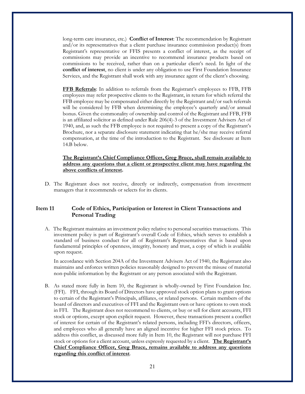long-term care insurance, etc.) **Conflict of Interest**: The recommendation by Registrant and/or its representatives that a client purchase insurance commission product(s) from Registrant's representative or FFIS presents a conflict of interest, as the receipt of commissions may provide an incentive to recommend insurance products based on commissions to be received, rather than on a particular client's need. In light of the **conflict of interest**, no client is under any obligation to use First Foundation Insurance Services, and the Registrant shall work with any insurance agent of the client's choosing.

**FFB Referrals**: In addition to referrals from the Registrant's employees to FFB, FFB employees may refer prospective clients to the Registrant, in return for which referral the FFB employee may be compensated either directly by the Registrant and/or such referrals will be considered by FFB when determining the employee's quarterly and/or annual bonus. Given the commonality of ownership and control of the Registrant and FFB, FFB is an affiliated solicitor as defined under Rule 206(4)-3 of the Investment Advisers Act of 1940, and, as such the FFB employee is not required to present a copy of the Registrant's Brochure, nor a separate disclosure statement indicating that he/she may receive referral compensation, at the time of the introduction to the Registrant. See disclosure at Item 14.B below.

# **The Registrant's Chief Compliance Officer, Greg Bruce, shall remain available to address any questions that a client or prospective client may have regarding the above conflicts of interest.**

D. The Registrant does not receive, directly or indirectly, compensation from investment managers that it recommends or selects for its clients.

# <span id="page-20-0"></span>**Item 11 Code of Ethics, Participation or Interest in Client Transactions and Personal Trading**

A. The Registrant maintains an investment policy relative to personal securities transactions. This investment policy is part of Registrant's overall Code of Ethics, which serves to establish a standard of business conduct for all of Registrant's Representatives that is based upon fundamental principles of openness, integrity, honesty and trust, a copy of which is available upon request.

In accordance with Section 204A of the Investment Advisers Act of 1940, the Registrant also maintains and enforces written policies reasonably designed to prevent the misuse of material non-public information by the Registrant or any person associated with the Registrant.

B. As stated more fully in Item 10, the Registrant is wholly-owned by First Foundation Inc. (FFI). FFI, through its Board of Directors have approved stock option plans to grant options to certain of the Registrant's Principals, affiliates, or related persons. Certain members of the board of directors and executives of FFI and the Registrant own or have options to own stock in FFI. The Registrant does not recommend to clients, or buy or sell for client accounts, FFI stock or options, except upon explicit request. However, these transactions present a conflict of interest for certain of the Registrant's related persons, including FFI's directors, officers, and employees who all generally have an aligned incentive for higher FFI stock prices. To address this conflict, as discussed more fully in Item 10, the Registrant will not purchase FFI stock or options for a client account, unless expressly requested by a client. **The Registrant's Chief Compliance Officer, Greg Bruce, remains available to address any questions regarding this conflict of interest**.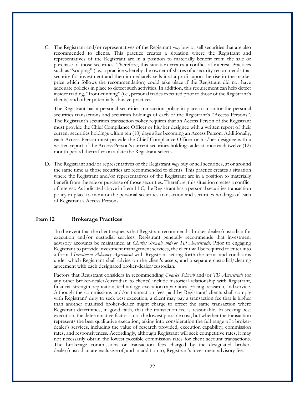C. The Registrant and/or representatives of the Registrant *may* buy or sell securities that are also recommended to clients. This practice creates a situation where the Registrant and representatives of the Registrant are in a position to materially benefit from the sale or purchase of those securities. Therefore, this situation creates a conflict of interest. Practices such as "scalping" (i.e., a practice whereby the owner of shares of a security recommends that security for investment and then immediately sells it at a profit upon the rise in the market price which follows the recommendation) could take place if the Registrant did not have adequate policies in place to detect such activities. In addition, this requirement can help detect insider trading, "front-running" (i.e., personal trades executed prior to those of the Registrant's clients) and other potentially abusive practices.

The Registrant has a personal securities transaction policy in place to monitor the personal securities transactions and securities holdings of each of the Registrant's "Access Persons". The Registrant's securities transaction policy requires that an Access Person of the Registrant must provide the Chief Compliance Officer or his/her designee with a written report of their current securities holdings within ten (10) days after becoming an Access Person. Additionally, each Access Person must provide the Chief Compliance Officer or his/her designee with a written report of the Access Person's current securities holdings at least once each twelve (12) month period thereafter on a date the Registrant selects.

D. The Registrant and/or representatives of the Registrant *may* buy or sell securities, at or around the same time as those securities are recommended to clients. This practice creates a situation where the Registrant and/or representatives of the Registrant are in a position to materially benefit from the sale or purchase of those securities. Therefore, this situation creates a conflict of interest. As indicated above in Item 11 C, the Registrant has a personal securities transaction policy in place to monitor the personal securities transaction and securities holdings of each of Registrant's Access Persons.

# <span id="page-21-0"></span>**Item 12 Brokerage Practices**

In the event that the client requests that Registrant recommend a broker-dealer/custodian for execution and/or custodial services, Registrant generally recommends that investment advisory accounts be maintained at *Charles Schwab and/or TD Ameritrade.* Prior to engaging Registrant to provide investment management services, the client will be required to enter into a formal *Investment Advisory Agreement* with Registrant setting forth the terms and conditions under which Registrant shall advise on the client's assets, and a separate custodial/clearing agreement with each designated broker-dealer/custodian.

Factors that Registrant considers in recommending *Charles Schwab* and/or *TD Ameritrade* (or any other broker-dealer/custodian to clients) include historical relationship with Registrant, financial strength, reputation, technology, execution capabilities, pricing, research, and service. Although the commissions and/or transaction fees paid by Registrant' clients shall comply with Registrant' duty to seek best execution, a client may pay a transaction fee that is higher than another qualified broker-dealer might charge to effect the same transaction where Registrant determines, in good faith, that the transaction fee is reasonable. In seeking best execution, the determinative factor is not the lowest possible cost, but whether the transaction represents the best qualitative execution, taking into consideration the full range of a brokerdealer's services, including the value of research provided, execution capability, commission rates, and responsiveness. Accordingly, although Registrant will seek competitive rates, it may not necessarily obtain the lowest possible commission rates for client account transactions. The brokerage commissions or transaction fees charged by the designated brokerdealer/custodian are exclusive of, and in addition to, Registrant's investment advisory fee.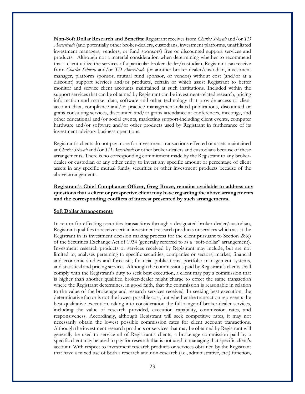**Non-Soft Dollar Research and Benefits**: Registrant receives from *Charles Schwab* and/or *TD Ameritrade* (and potentially other broker-dealers, custodians, investment platforms, unaffiliated investment managers, vendors, or fund sponsors) free or discounted support services and products. Although not a material consideration when determining whether to recommend that a client utilize the services of a particular broker-dealer/custodian, Registrant can receive from *Charles Schwab* and/or *TD Ameritrade* (or another broker-dealer/custodian, investment manager, platform sponsor, mutual fund sponsor, or vendor) without cost (and/or at a discount) support services and/or products, certain of which assist Registrant to better monitor and service client accounts maintained at such institutions. Included within the support services that can be obtained by Registrant can be investment-related research, pricing information and market data, software and other technology that provide access to client account data, compliance and/or practice management-related publications, discounted or gratis consulting services, discounted and/or gratis attendance at conferences, meetings, and other educational and/or social events, marketing support-including client events, computer hardware and/or software and/or other products used by Registrant in furtherance of its investment advisory business operations.

Registrant's clients do not pay more for investment transactions effected or assets maintained at *Charles Schwab* and/or *TD Ameritrade* or other broker-dealers and custodians because of these arrangements. There is no corresponding commitment made by the Registrant to any brokerdealer or custodian or any other entity to invest any specific amount or percentage of client assets in any specific mutual funds, securities or other investment products because of the above arrangements.

# **Registrant's Chief Compliance Officer, Greg Bruce, remains available to address any questions that a client or prospective client may have regarding the above arrangements and the corresponding conflicts of interest presented by such arrangements.**

#### **Soft Dollar Arrangements**

In return for effecting securities transactions through a designated broker-dealer/custodian, Registrant qualifies to receive certain investment research products or services which assist the Registrant in its investment decision making process for the client pursuant to Section 28(e) of the Securities Exchange Act of 1934 (generally referred to as a "soft-dollar" arrangement). Investment research products or services received by Registrant may include, but are not limited to, analyses pertaining to specific securities, companies or sectors; market, financial and economic studies and forecasts; financial publications, portfolio management systems, and statistical and pricing services. Although the commissions paid by Registrant's clients shall comply with the Registrant's duty to seek best execution, a client may pay a commission that is higher than another qualified broker-dealer might charge to effect the same transaction where the Registrant determines, in good faith, that the commission is reasonable in relation to the value of the brokerage and research services received. In seeking best execution, the determinative factor is not the lowest possible cost, but whether the transaction represents the best qualitative execution, taking into consideration the full range of broker-dealer services, including the value of research provided, execution capability, commission rates, and responsiveness. Accordingly, although Registrant will seek competitive rates, it may not necessarily obtain the lowest possible commission rates for client account transactions. Although the investment research products or services that may be obtained by Registrant will generally be used to service all of Registrant's clients, a brokerage commission paid by a specific client may be used to pay for research that is not used in managing that specific client's account. With respect to investment research products or services obtained by the Registrant that have a mixed use of both a research and non-research (i.e., administrative, etc.) function,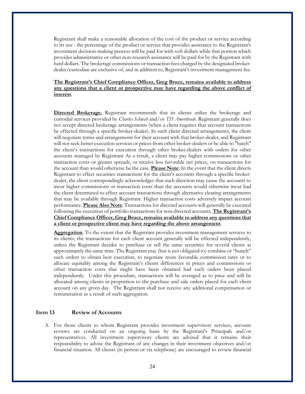Registrant shall make a reasonable allocation of the cost of the product or service according to its use - the percentage of the product or service that provides assistance to the Registrant's investment decision-making process will be paid for with soft dollars while that portion which provides administrative or other non-research assistance will be paid for by the Registrant with hard dollars. The brokerage commissions or transaction fees charged by the designated brokerdealer/custodian are exclusive of, and in addition to, Registrant's investment management fee.

# **The Registrant's Chief Compliance Officer, Greg Bruce, remains available to address any questions that a client or prospective may have regarding the above conflict of interest**.

**Directed Brokerage.** Registrant recommends that its clients utilize the brokerage and custodial services provided by *Charles Schwab* and/or *TD Ameritrade.* Registrant generally does not accept directed brokerage arrangements (when a client requires that account transactions be effected through a specific broker-dealer). In such client directed arrangements, the client will negotiate terms and arrangements for their account with that broker-dealer, and Registrant will not seek better execution services or prices from other broker-dealers or be able to "batch" the client's transactions for execution through other broker-dealers with orders for other accounts managed by Registrant As a result, a client may pay higher commissions or other transaction costs or greater spreads, or receive less favorable net prices, on transactions for the account than would otherwise be the case. **Please Note**: In the event that the client directs Registrant to effect securities transactions for the client's accounts through a specific brokerdealer, the client correspondingly acknowledges that such direction may cause the accounts to incur higher commissions or transaction costs than the accounts would otherwise incur had the client determined to effect account transactions through alternative clearing arrangements that may be available through Registrant. Higher transaction costs adversely impact account performance. **Please Also Note**: Transactions for directed accounts will generally be executed following the execution of portfolio transactions for non-directed accounts. **The Registrant's Chief Compliance Officer, Greg Bruce, remains available to address any questions that a client or prospective client may have regarding the above arrangement**.

**Aggregation**. To the extent that the Registrant provides investment management services to its clients, the transactions for each client account generally will be effected independently, unless the Registrant decides to purchase or sell the same securities for several clients at approximately the same time. The Registrant may (but is not obligated to) combine or "bunch" such orders to obtain best execution, to negotiate more favorable commission rates or to allocate equitably among the Registrant's clients differences in prices and commissions or other transaction costs that might have been obtained had such orders been placed independently. Under this procedure, transactions will be averaged as to price and will be allocated among clients in proportion to the purchase and sale orders placed for each client account on any given day. The Registrant shall not receive any additional compensation or remuneration as a result of such aggregation.

# <span id="page-23-0"></span>**Item 13 Review of Accounts**

A. For those clients to whom Registrant provides investment supervisory services, account reviews are conducted on an ongoing basis by the Registrant's Principals and/or representatives. All investment supervisory clients are advised that it remains their responsibility to advise the Registrant of any changes in their investment objectives and/or financial situation. All clients (in person or via telephone) are encouraged to review financial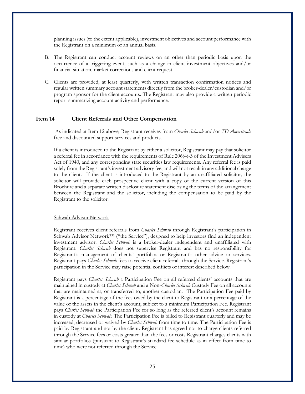planning issues (to the extent applicable), investment objectives and account performance with the Registrant on a minimum of an annual basis.

- B. The Registrant can conduct account reviews on an other than periodic basis upon the occurrence of a triggering event, such as a change in client investment objectives and/or financial situation, market corrections and client request.
- C. Clients are provided, at least quarterly, with written transaction confirmation notices and regular written summary account statements directly from the broker-dealer/custodian and/or program sponsor for the client accounts. The Registrant may also provide a written periodic report summarizing account activity and performance.

# <span id="page-24-0"></span>**Item 14 Client Referrals and Other Compensation**

As indicated at Item 12 above*,* Registrant receives from *Charles Schwab* and/or *TD Ameritrade* free and discounted support services and products.

If a client is introduced to the Registrant by either a solicitor, Registrant may pay that solicitor a referral fee in accordance with the requirements of Rule 206(4)-3 of the Investment Advisers Act of 1940, and any corresponding state securities law requirements. Any referral fee is paid solely from the Registrant's investment advisory fee, and will not result in any additional charge to the client. If the client is introduced to the Registrant by an unaffiliated solicitor, the solicitor will provide each prospective client with a copy of the current version of this Brochure and a separate written disclosure statement disclosing the terms of the arrangement between the Registrant and the solicitor, including the compensation to be paid by the Registrant to the solicitor.

#### Schwab Advisor Network

Registrant receives client referrals from *Charles Schwab* through Registrant's participation in Schwab Advisor Network™ ("the Service"), designed to help investors find an independent investment advisor. *Charles Schwab* is a broker-dealer independent and unaffiliated with Registrant. *Charles Schwab* does not supervise Registrant and has no responsibility for Registrant's management of clients' portfolios or Registrant's other advice or services. Registrant pays *Charles Schwab* fees to receive client referrals through the Service. Registrant's participation in the Service may raise potential conflicts of interest described below.

Registrant pays *Charles Schwab* a Participation Fee on all referred clients' accounts that are maintained in custody at *Charles Schwab* and a Non-*Charles Schwab* Custody Fee on all accounts that are maintained at, or transferred to, another custodian. The Participation Fee paid by Registrant is a percentage of the fees owed by the client to Registrant or a percentage of the value of the assets in the client's account, subject to a minimum Participation Fee. Registrant pays *Charles Schwab* the Participation Fee for so long as the referred client's account remains in custody at *Charles Schwab*. The Participation Fee is billed to Registrant quarterly and may be increased, decreased or waived by *Charles Schwab* from time to time. The Participation Fee is paid by Registrant and not by the client. Registrant has agreed not to charge clients referred through the Service fees or costs greater than the fees or costs Registrant charges clients with similar portfolios (pursuant to Registrant's standard fee schedule as in effect from time to time) who were not referred through the Service.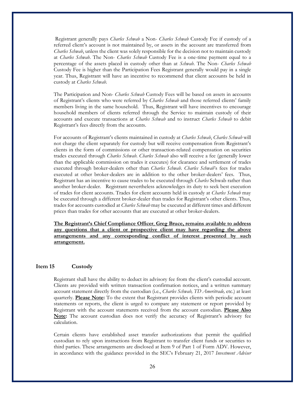Registrant generally pays *Charles Schwab* a Non- *Charles Schwab* Custody Fee if custody of a referred client's account is not maintained by, or assets in the account are transferred from *Charles Schwab*, unless the client was solely responsible for the decision not to maintain custody at *Charles Schwab*. The Non- *Charles Schwab* Custody Fee is a one-time payment equal to a percentage of the assets placed in custody other than at *Schwab*. The Non- *Charles Schwab* Custody Fee is higher than the Participation Fees Registrant generally would pay in a single year. Thus, Registrant will have an incentive to recommend that client accounts be held in custody at *Charles Schwab.*

The Participation and Non- *Charles Schwab* Custody Fees will be based on assets in accounts of Registrant's clients who were referred by *Charles Schwab* and those referred clients' family members living in the same household. Thus, Registrant will have incentives to encourage household members of clients referred through the Service to maintain custody of their accounts and execute transactions at *Charles Schwab* and to instruct *Charles Schwab* to debit Registrant's fees directly from the accounts.

For accounts of Registrant's clients maintained in custody at *Charles Schwab*, *Charles Schwab* will not charge the client separately for custody but will receive compensation from Registrant's clients in the form of commissions or other transaction-related compensation on securities trades executed through *Charles Schwab*. *Charles Schwab* also will receive a fee (generally lower than the applicable commission on trades it executes) for clearance and settlement of trades executed through broker-dealers other than *Charles Schwab*. *Charles Schwab*'s fees for trades executed at other broker-dealers are in addition to the other broker-dealers' fees. Thus, Registrant has an incentive to cause trades to be executed through *Charles* Schwab rather than another broker-dealer. Registrant nevertheless acknowledges its duty to seek best execution of trades for client accounts. Trades for client accounts held in custody at *Charles Schwab* may be executed through a different broker-dealer than trades for Registrant's other clients. Thus, trades for accounts custodied at *Charles Schwab* may be executed at different times and different prices than trades for other accounts that are executed at other broker-dealers.

**The Registrant's Chief Compliance Officer**, **Greg Bruce, remains available to address any questions that a client or prospective client may have regarding the above arrangements and any corresponding conflict of interest presented by such arrangement.**

# <span id="page-25-0"></span>**Item 15 Custody**

Registrant shall have the ability to deduct its advisory fee from the client's custodial account. Clients are provided with written transaction confirmation notices, and a written summary account statement directly from the custodian (i.e., *Charles Schwab, TD Ameritrade,* etc.) at least quarterly. **Please Note:** To the extent that Registrant provides clients with periodic account statements or reports, the client is urged to compare any statement or report provided by Registrant with the account statements received from the account custodian. **Please Also Note:** The account custodian does not verify the accuracy of Registrant's advisory fee calculation.

Certain clients have established asset transfer authorizations that permit the qualified custodian to rely upon instructions from Registrant to transfer client funds or securities to third parties. These arrangements are disclosed at Item 9 of Part 1 of Form ADV. However, in accordance with the guidance provided in the SEC's February 21, 2017 *Investment Adviser*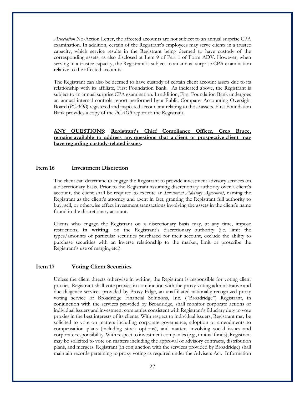*Association* No-Action Letter, the affected accounts are not subject to an annual surprise CPA examination. In addition, certain of the Registrant's employees may serve clients in a trustee capacity, which service results in the Registrant being deemed to have custody of the corresponding assets, as also disclosed at Item 9 of Part 1 of Form ADV. However, when serving in a trustee capacity, the Registrant is subject to an annual surprise CPA examination relative to the affected accounts.

The Registrant can also be deemed to have custody of certain client account assets due to its relationship with its affiliate, First Foundation Bank. As indicated above, the Registrant is subject to an annual surprise CPA examination. In addition, First Foundation Bank undergoes an annual internal controls report performed by a Public Company Accounting Oversight Board (*PCAOB*) registered and inspected accountant relating to those assets. First Foundation Bank provides a copy of the *PCAOB* report to the Registrant.

**ANY QUESTIONS: Registrant's Chief Compliance Officer, Greg Bruce, remains available to address any questions that a client or prospective client may have regarding custody-related issues.**

# <span id="page-26-0"></span>**Item 16 Investment Discretion**

The client can determine to engage the Registrant to provide investment advisory services on a discretionary basis. Prior to the Registrant assuming discretionary authority over a client's account, the client shall be required to execute an *Investment Advisory Agreement*, naming the Registrant as the client's attorney and agent in fact, granting the Registrant full authority to buy, sell, or otherwise effect investment transactions involving the assets in the client's name found in the discretionary account.

Clients who engage the Registrant on a discretionary basis may, at any time, impose restrictions, **in writing**, on the Registrant's discretionary authority (i.e. limit the types/amounts of particular securities purchased for their account, exclude the ability to purchase securities with an inverse relationship to the market, limit or proscribe the Registrant's use of margin, etc.).

## <span id="page-26-1"></span>**Item 17 Voting Client Securities**

Unless the client directs otherwise in writing, the Registrant is responsible for voting client proxies. Registrant shall vote proxies in conjunction with the proxy voting administrative and due diligence services provided by Proxy Edge, an unaffiliated nationally recognized proxy voting service of Broadridge Financial Solutions, Inc. ("Broadridge") Registrant, in conjunction with the services provided by Broadridge, shall monitor corporate actions of individual issuers and investment companies consistent with Registrant's fiduciary duty to vote proxies in the best interests of its clients. With respect to individual issuers, Registrant may be solicited to vote on matters including corporate governance, adoption or amendments to compensation plans (including stock options), and matters involving social issues and corporate responsibility. With respect to investment companies (e.g., mutual funds), Registrant may be solicited to vote on matters including the approval of advisory contracts, distribution plans, and mergers. Registrant (in conjunction with the services provided by Broadridge) shall maintain records pertaining to proxy voting as required under the Advisers Act. Information